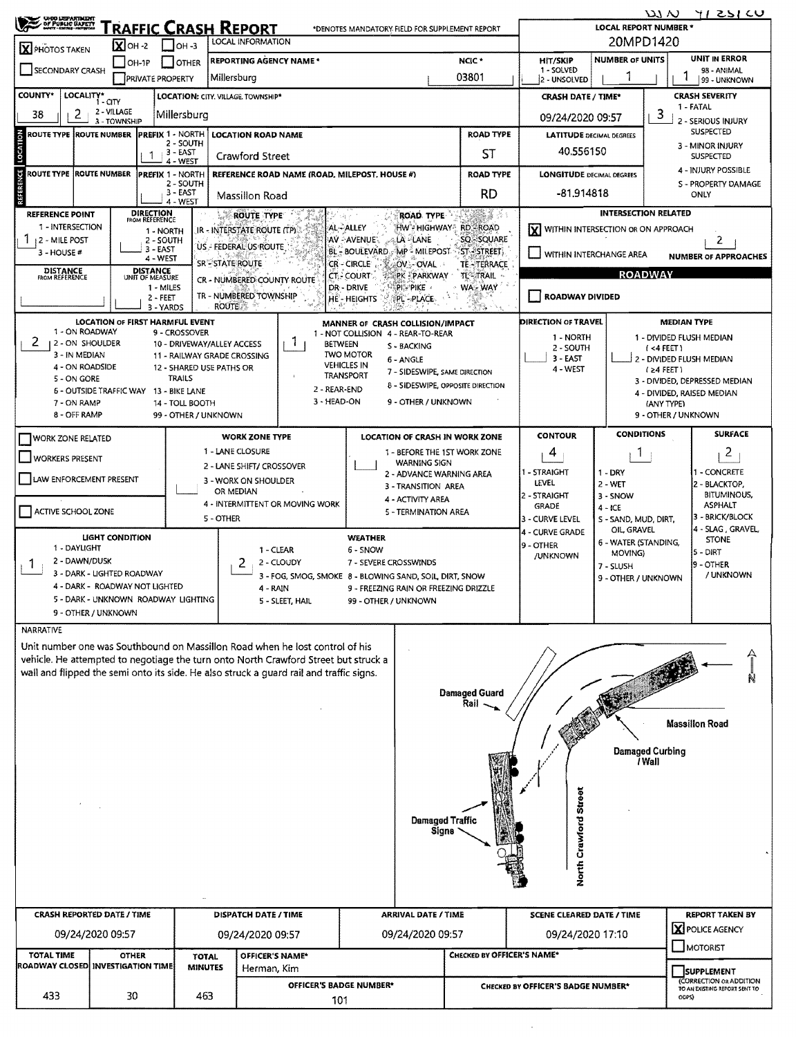| OF PUBLIC GAPATH                                                                                                                                                                                |                                                                                                                                                                                                                                                                |                                             | RAFFIC CRASH REPORT                                                                                                                                                                                                                                                                                                                                                                                                                                                                                                                                                                                               |                                               |                                                                                                                                                                                                                 |                                                                                                                                                                                                                      |                                                                                       |                                                                                                                                                                                                                                                                                                                                      | <b>LOCAL REPORT NUMBER *</b>                                              |                                                   | $W_{\text{N}}$ $W_{\text{N}}$                                                                                                                                                             |  |  |
|-------------------------------------------------------------------------------------------------------------------------------------------------------------------------------------------------|----------------------------------------------------------------------------------------------------------------------------------------------------------------------------------------------------------------------------------------------------------------|---------------------------------------------|-------------------------------------------------------------------------------------------------------------------------------------------------------------------------------------------------------------------------------------------------------------------------------------------------------------------------------------------------------------------------------------------------------------------------------------------------------------------------------------------------------------------------------------------------------------------------------------------------------------------|-----------------------------------------------|-----------------------------------------------------------------------------------------------------------------------------------------------------------------------------------------------------------------|----------------------------------------------------------------------------------------------------------------------------------------------------------------------------------------------------------------------|---------------------------------------------------------------------------------------|--------------------------------------------------------------------------------------------------------------------------------------------------------------------------------------------------------------------------------------------------------------------------------------------------------------------------------------|---------------------------------------------------------------------------|---------------------------------------------------|-------------------------------------------------------------------------------------------------------------------------------------------------------------------------------------------|--|--|
|                                                                                                                                                                                                 | $\overline{\mathbf{X}}$ OH -2                                                                                                                                                                                                                                  | $ $ OH -3                                   | LOCAL INFORMATION                                                                                                                                                                                                                                                                                                                                                                                                                                                                                                                                                                                                 |                                               |                                                                                                                                                                                                                 | *DENOTES MANDATORY FIELD FOR SUPPLEMENT REPORT                                                                                                                                                                       |                                                                                       |                                                                                                                                                                                                                                                                                                                                      | 20MPD1420                                                                 |                                                   |                                                                                                                                                                                           |  |  |
| <b>X</b> PHOTOS TAKEN                                                                                                                                                                           | $OH-1P$                                                                                                                                                                                                                                                        | <b>I</b> OTHER                              | <b>REPORTING AGENCY NAME*</b>                                                                                                                                                                                                                                                                                                                                                                                                                                                                                                                                                                                     |                                               |                                                                                                                                                                                                                 |                                                                                                                                                                                                                      | NCIC <sup>*</sup>                                                                     | <b>HIT/SKIP</b>                                                                                                                                                                                                                                                                                                                      | <b>NUMBER OF UNITS</b>                                                    |                                                   | <b>UNIT IN ERROR</b>                                                                                                                                                                      |  |  |
| SECONDARY CRASH                                                                                                                                                                                 | <b>PRIVATE PROPERTY</b>                                                                                                                                                                                                                                        |                                             | Millersburg                                                                                                                                                                                                                                                                                                                                                                                                                                                                                                                                                                                                       |                                               |                                                                                                                                                                                                                 | 03801                                                                                                                                                                                                                | 1 - SOLVED<br>2 - UNSOLVED                                                            |                                                                                                                                                                                                                                                                                                                                      |                                                                           | 98 - ANIMAL<br>99 - UNKNOWN                       |                                                                                                                                                                                           |  |  |
| <b>COUNTY*</b>                                                                                                                                                                                  | LOCALITY* CITY<br>2 - VILLAGE                                                                                                                                                                                                                                  |                                             | <b>LOCATION: CITY, VILLAGE, TOWNSHIP*</b>                                                                                                                                                                                                                                                                                                                                                                                                                                                                                                                                                                         |                                               |                                                                                                                                                                                                                 |                                                                                                                                                                                                                      |                                                                                       | <b>CRASH DATE / TIME*</b>                                                                                                                                                                                                                                                                                                            |                                                                           |                                                   | <b>CRASH SEVERITY</b><br>1 - FATAL                                                                                                                                                        |  |  |
| 38<br>2                                                                                                                                                                                         | 3 - TOWNSHIP                                                                                                                                                                                                                                                   | Millersburg                                 |                                                                                                                                                                                                                                                                                                                                                                                                                                                                                                                                                                                                                   |                                               |                                                                                                                                                                                                                 |                                                                                                                                                                                                                      |                                                                                       | 09/24/2020 09:57                                                                                                                                                                                                                                                                                                                     |                                                                           | 3                                                 | 2 - SERIOUS INJURY                                                                                                                                                                        |  |  |
| LOCATION<br><b>ROUTE TYPE ROUTE NUMBER</b>                                                                                                                                                      | 1                                                                                                                                                                                                                                                              | PREFIX 1 - NORTH<br>2 - SOUTH<br>3 - EAST   | <b>LOCATION ROAD NAME</b><br><b>Crawford Street</b>                                                                                                                                                                                                                                                                                                                                                                                                                                                                                                                                                               |                                               |                                                                                                                                                                                                                 | <b>ROAD TYPE</b><br>ST                                                                                                                                                                                               | <b>LATITUDE DECIMAL DEGREES</b><br>40.556150                                          |                                                                                                                                                                                                                                                                                                                                      |                                                                           | SUSPECTED<br>3 - MINOR INJURY<br><b>SUSPECTED</b> |                                                                                                                                                                                           |  |  |
| <b>ROUTE TYPE ROUTE NUMBER</b>                                                                                                                                                                  |                                                                                                                                                                                                                                                                | 4 - WEST<br>PREFIX 1 - NORTH                |                                                                                                                                                                                                                                                                                                                                                                                                                                                                                                                                                                                                                   | REFERENCE ROAD NAME (ROAD, MILEPOST, HOUSE #) |                                                                                                                                                                                                                 | <b>ROAD TYPE</b>                                                                                                                                                                                                     | <b>LONGITUDE DECIMAL DEGREES</b>                                                      |                                                                                                                                                                                                                                                                                                                                      |                                                                           | 4 - INJURY POSSIBLE                               |                                                                                                                                                                                           |  |  |
| REFERENCE                                                                                                                                                                                       |                                                                                                                                                                                                                                                                | 2 - SOUTH<br>3 - EAST<br>4 - WEST           | Massillon Road                                                                                                                                                                                                                                                                                                                                                                                                                                                                                                                                                                                                    |                                               |                                                                                                                                                                                                                 |                                                                                                                                                                                                                      | <b>RD</b>                                                                             | -81.914818                                                                                                                                                                                                                                                                                                                           |                                                                           |                                                   | S - PROPERTY DAMAGE<br>ONLY                                                                                                                                                               |  |  |
| <b>REFERENCE POINT</b><br>1 - INTERSECTION<br>12 - MILE POST<br>3 - HOUSE #<br><b>DISTANCE</b><br>FROM REFERENCE<br>1 - ON ROADWAY<br>2<br>12 - ON SHOULDER<br>3 - IN MEDIAN<br>4 - ON ROADSIDE | <b>DIRECTION</b><br>FROM REFERENCE<br>1 - NORTH<br>2 - SOUTH<br>3 - EAST<br>4 - WEST<br><b>DISTANCE</b><br>UNIT OF MEASURE<br>1 - MILES<br>2 - FEET<br>3 - YARDS<br><b>LOCATION OF FIRST HARMFUL EVENT</b>                                                     | 9 - CROSSOVER<br>12 - SHARED USE PATHS OR   | <b>ROUTE TYPE</b><br>IR - INTERSTATE ROUTE (TP)<br>US - FEDERAL US ROUTE<br>SR'-STATE ROUTE<br>CR - NUMBERED COUNTY ROUTE<br>TR - NUMBERED TOWNSHIP<br><b>ROUTE</b><br>10 - DRIVEWAY/ALLEY ACCESS<br>11 - RAILWAY GRADE CROSSING                                                                                                                                                                                                                                                                                                                                                                                  | Т.<br><b>BETWEEN</b>                          | AL⊶ALLEY<br>\AV - AVENUE\<br>BL - BOULEVARD<br>CR - CIRCLE<br>CT.- COURT<br>DR - DRIVE<br><b>HE-HEIGHTS</b><br>1 - NOT COLLISION 4 - REAR-TO-REAR<br><b>TWO MOTOR</b><br><b>VEHICLES IN</b><br><b>TRANSPORT</b> | ROAD TYPE<br>HW'. HIGHWAY RD ROAD<br>LA -LANE<br>MP - MILEPOST<br>OV - OVAL<br>PK - PARKWAY<br>PI PIKE<br>PL-PLACE.<br>MANNER OF CRASH COLLISION/IMPACT<br>S - BACKING<br>6 - ANGLE<br>7 - SIDESWIPE, SAME DIRECTION | range a<br>SQ - SQUARE<br><b>ST-STREET</b><br>TE-TERRACE<br><b>TL-TRAIL</b><br>WA-WAY | lχl<br>WITHIN INTERCHANGE AREA<br>ROADWAY DIVIDED<br>DIRECTION OF TRAVEL<br>1 - NORTH<br>2 - SOUTH<br>3 - EAST<br>4 - WEST                                                                                                                                                                                                           | <b>INTERSECTION RELATED</b><br>WITHIN INTERSECTION OR ON APPROACH         | <b>ROADWAY</b><br>$($ <4 FEET $)$<br>$(24$ FEET)  | 2<br><b>NUMBER OF APPROACHES</b><br><b>MEDIAN TYPE</b><br>1 - DIVIDED FLUSH MEDIAN<br>2 - DIVIDED FLUSH MEDIAN                                                                            |  |  |
| 5 - ON GORE<br>7 - ON RAMP                                                                                                                                                                      | 6 - OUTSIDE TRAFFIC WAY                                                                                                                                                                                                                                        | TRAILS<br>13 - BIKE LANE<br>14 - TOLL BOOTH |                                                                                                                                                                                                                                                                                                                                                                                                                                                                                                                                                                                                                   | 2 - REAR-END<br>3 - HEAD-ON                   | 8 - SIDESWIPE, OPPOSITE DIRECTION<br>9 - OTHER / UNKNOWN                                                                                                                                                        |                                                                                                                                                                                                                      |                                                                                       |                                                                                                                                                                                                                                                                                                                                      | 3 - DIVIDED, DEPRESSED MEDIAN<br>4 - DIVIDED, RAISED MEDIAN<br>(ANY TYPE) |                                                   |                                                                                                                                                                                           |  |  |
| 8 - OFF RAMP                                                                                                                                                                                    |                                                                                                                                                                                                                                                                | 99 - OTHER / UNKNOWN                        |                                                                                                                                                                                                                                                                                                                                                                                                                                                                                                                                                                                                                   |                                               |                                                                                                                                                                                                                 |                                                                                                                                                                                                                      |                                                                                       |                                                                                                                                                                                                                                                                                                                                      |                                                                           | 9 - OTHER / UNKNOWN                               |                                                                                                                                                                                           |  |  |
| <b>WORK ZONE RELATED</b><br>WORKERS PRESENT<br>LAW ENFORCEMENT PRESENT<br>ACTIVE SCHOOL ZONE<br>1 - DAYLIGHT<br>2 - DAWN/DUSK<br>1.                                                             | <b>LIGHT CONDITION</b><br>3 - DARK - LIGHTED ROADWAY<br>4 DARK ROADWAY NOT LIGHTED<br>5 - DARK - UNKNOWN ROADWAY LIGHTING<br>9 - OTHER / UNKNOWN                                                                                                               |                                             | <b>WORK ZONE TYPE</b><br><b>LOCATION OF CRASH IN WORK ZONE</b><br>1 - LANE CLOSURE<br>1 - BEFORE THE 1ST WORK ZONE<br><b>WARNING SIGN</b><br>2 - LANE SHIFT/ CROSSOVER<br>2 - ADVANCE WARNING AREA<br>3 - WORK ON SHOULDER<br>3 - TRANSITION AREA<br>OR MEDIAN<br>4 - ACTIVITY AREA<br>4 - INTERMITTENT OR MOVING WORK<br>5 - TERMINATION AREA<br>5 - OTHER<br><b>WEATHER</b><br>6 - SNOW<br>1 - CLEAR<br>2<br>2 - CLOUDY<br>7 - SEVERE CROSSWINDS<br>3 - FOG, SMOG, SMOKE 8 - BLOWING SAND, SOIL, DIRT, SNOW<br>$4 - RA$ $N$<br>9 - FREEZING RAIN OR FREEZING DRIZZLE<br>5 - SLEET, HAIL<br>99 - OTHER / UNKNOWN |                                               |                                                                                                                                                                                                                 |                                                                                                                                                                                                                      |                                                                                       | <b>CONDITIONS</b><br><b>CONTOUR</b><br>4<br>-1<br>I - STRAIGHT<br>1 - DRY<br>LEVEL<br>$2 - WET$<br>2 - STRAIGHT<br>3 - SNOW<br><b>GRADE</b><br>$4 - iCE$<br>3 - CURVE LEVEL<br>S - SAND, MUD, DIRT,<br>OIL GRAVEL<br>4 - CURVE GRADE<br>6 - WATER (STANDING,<br>9 - OTHER<br>MOVING)<br>/UNKNOWN<br>7 - SLUSH<br>9 - OTHER / UNKNOWN |                                                                           |                                                   | <b>SURFACE</b><br>2<br>1 - CONCRETE<br>2 - BLACKTOP,<br><b>BITUMINOUS,</b><br><b>ASPHALT</b><br>3 - BRICK/BLOCK<br>4 - SLAG, GRAVEL<br><b>STONE</b><br>5 - DIRT<br>9 - OTHER<br>/ UNKNOWN |  |  |
| NARRATIVE                                                                                                                                                                                       |                                                                                                                                                                                                                                                                |                                             |                                                                                                                                                                                                                                                                                                                                                                                                                                                                                                                                                                                                                   |                                               |                                                                                                                                                                                                                 |                                                                                                                                                                                                                      |                                                                                       |                                                                                                                                                                                                                                                                                                                                      |                                                                           |                                                   |                                                                                                                                                                                           |  |  |
|                                                                                                                                                                                                 | Unit number one was Southbound on Massillon Road when he lost control of his<br>vehicle. He attempted to negotiage the turn onto North Crawford Street but struck a<br>wall and flipped the semi onto its side. He also struck a guard rail and traffic signs. |                                             |                                                                                                                                                                                                                                                                                                                                                                                                                                                                                                                                                                                                                   |                                               |                                                                                                                                                                                                                 | Damaged Traffic<br>Signs                                                                                                                                                                                             | <b>Damaged Guard</b><br>Rail -                                                        | North Crawford Street                                                                                                                                                                                                                                                                                                                |                                                                           | Damaged Curbing<br>/ Wall                         | <b>Massillon Road</b>                                                                                                                                                                     |  |  |
|                                                                                                                                                                                                 |                                                                                                                                                                                                                                                                |                                             | DISPATCH DATE / TIME                                                                                                                                                                                                                                                                                                                                                                                                                                                                                                                                                                                              |                                               |                                                                                                                                                                                                                 | <b>ARRIVAL DATE / TIME</b>                                                                                                                                                                                           |                                                                                       | SCENE CLEARED DATE / TIME                                                                                                                                                                                                                                                                                                            |                                                                           |                                                   | <b>REPORT TAKEN BY</b>                                                                                                                                                                    |  |  |
| <b>CRASH REPORTED DATE / TIME</b><br>09/24/2020 09:57                                                                                                                                           |                                                                                                                                                                                                                                                                |                                             | 09/24/2020 09:57                                                                                                                                                                                                                                                                                                                                                                                                                                                                                                                                                                                                  | 09/24/2020 09:57                              |                                                                                                                                                                                                                 |                                                                                                                                                                                                                      | 09/24/2020 17:10                                                                      |                                                                                                                                                                                                                                                                                                                                      |                                                                           | X POLICE AGENCY                                   |                                                                                                                                                                                           |  |  |
| <b>TOTAL TIME</b>                                                                                                                                                                               | <b>OTHER</b><br>ROADWAY CLOSED INVESTIGATION TIME                                                                                                                                                                                                              | <b>TOTAL</b><br><b>MINUTES</b>              | OFFICER'S NAME*<br>Herman, Kim                                                                                                                                                                                                                                                                                                                                                                                                                                                                                                                                                                                    |                                               |                                                                                                                                                                                                                 |                                                                                                                                                                                                                      | CHECKED BY OFFICER'S NAME*                                                            |                                                                                                                                                                                                                                                                                                                                      |                                                                           |                                                   | MOTORIST                                                                                                                                                                                  |  |  |
|                                                                                                                                                                                                 |                                                                                                                                                                                                                                                                |                                             | OFFICER'S BADGE NUMBER*                                                                                                                                                                                                                                                                                                                                                                                                                                                                                                                                                                                           |                                               |                                                                                                                                                                                                                 |                                                                                                                                                                                                                      |                                                                                       | <b>SUPPLEMENT</b><br>(CORRECTION OR ADDITION<br>CHECKED BY OFFICER'S BADGE NUMBER*                                                                                                                                                                                                                                                   |                                                                           |                                                   |                                                                                                                                                                                           |  |  |
| 433                                                                                                                                                                                             | 30                                                                                                                                                                                                                                                             | 463                                         |                                                                                                                                                                                                                                                                                                                                                                                                                                                                                                                                                                                                                   | 101                                           |                                                                                                                                                                                                                 |                                                                                                                                                                                                                      |                                                                                       |                                                                                                                                                                                                                                                                                                                                      | TO AN EXISTING REPORT SENT TO<br>ODPS)                                    |                                                   |                                                                                                                                                                                           |  |  |
|                                                                                                                                                                                                 |                                                                                                                                                                                                                                                                |                                             |                                                                                                                                                                                                                                                                                                                                                                                                                                                                                                                                                                                                                   |                                               |                                                                                                                                                                                                                 |                                                                                                                                                                                                                      |                                                                                       |                                                                                                                                                                                                                                                                                                                                      |                                                                           |                                                   |                                                                                                                                                                                           |  |  |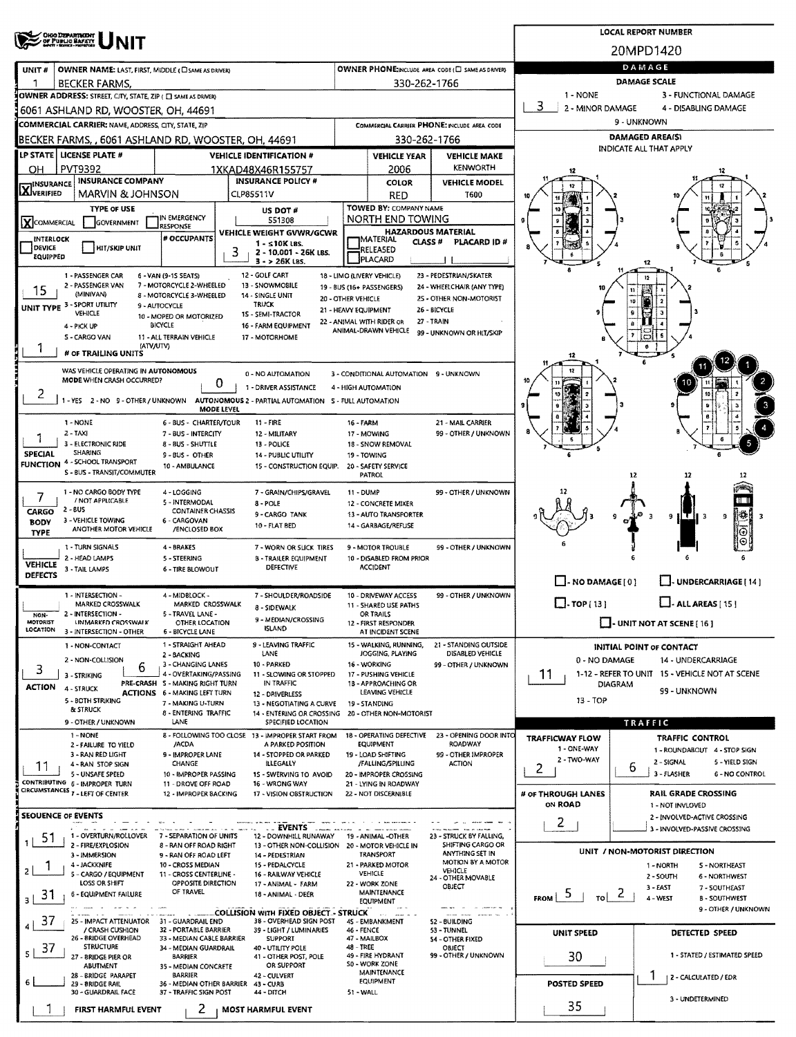|                                                                                                              |                                                                         |                                              |                                                 |                                                   |                                               | <b>LOCAL REPORT NUMBER</b>                                           |  |  |  |  |
|--------------------------------------------------------------------------------------------------------------|-------------------------------------------------------------------------|----------------------------------------------|-------------------------------------------------|---------------------------------------------------|-----------------------------------------------|----------------------------------------------------------------------|--|--|--|--|
| OISO DEPARTMENT<br>OF PUBLIC SAFETY                                                                          |                                                                         |                                              |                                                 |                                                   |                                               | 20MPD1420                                                            |  |  |  |  |
| OWNER NAME: LAST, FIRST, MIDDLE (C) SAME AS DRIVERY<br>UNIT#                                                 |                                                                         |                                              |                                                 | OWNER PHONE:INCLUDE AREA CODE (E) SAME AS DRIVERY |                                               | DAMAGE                                                               |  |  |  |  |
| 1<br>BECKER FARMS,                                                                                           |                                                                         |                                              | 330-262-1766                                    |                                                   | DAMAGE SCALE                                  |                                                                      |  |  |  |  |
| OWNER ADDRESS: STREET, CITY, STATE, ZIP ( C SAME AS DRIVER)                                                  |                                                                         |                                              |                                                 |                                                   | 1 - NONE                                      | 3 - FUNCTIONAL DAMAGE                                                |  |  |  |  |
| 6061 ASHLAND RD, WOOSTER, OH, 44691                                                                          |                                                                         |                                              |                                                 |                                                   | 3<br>2 - MINOR DAMAGE                         | 4 - DISABLING DAMAGE                                                 |  |  |  |  |
| COMMERCIAL CARRIER: NAME, ADDRESS, CITY, STATE, ZIP                                                          |                                                                         |                                              |                                                 | COMMERCIAL CARRIER PHONE: INCLUDE AREA CODE       | 9 - UNKNOWN<br>DAMAGED AREA(\$)               |                                                                      |  |  |  |  |
| BECKER FARMS, , 6061 ASHLAND RD, WOOSTER, OH, 44691                                                          |                                                                         | 330-262-1766                                 |                                                 |                                                   |                                               | INDICATE ALL THAT APPLY                                              |  |  |  |  |
| LP STATE   LICENSE PLATE #<br>PVT9392                                                                        | <b>VEHICLE IDENTIFICATION #</b>                                         |                                              | <b>VEHICLE YEAR</b><br>2006                     | <b>VEHICLE MAKE</b><br><b>KENWORTH</b>            |                                               |                                                                      |  |  |  |  |
| OН<br><b>INSURANCE COMPANY</b><br><b>INSURANCE</b>                                                           | 1XKAD48X46R155757<br><b>INSURANCE POLICY #</b>                          |                                              | <b>COLOR</b>                                    | <b>VEHICLE MODEL</b>                              |                                               |                                                                      |  |  |  |  |
| <b>LX</b> JVERIFIED<br><b>MARVIN &amp; JOHNSON</b>                                                           | CLP85511V                                                               |                                              | <b>RED</b>                                      | <b>T600</b>                                       | 10                                            |                                                                      |  |  |  |  |
| <b>TYPE OF USE</b>                                                                                           | US DOT #                                                                |                                              | TOWED BY: COMPANY NAME                          |                                                   | 10                                            |                                                                      |  |  |  |  |
| IN EMERGENCY<br><b>X</b> COMMERCIAL<br>GOVERNMENT<br><b>RESPONSE</b>                                         | 551308<br>VEHICLE WEIGHT GVWR/GCWR                                      |                                              | NORTH END TOWING<br><b>HAZARDOUS MATERIAL</b>   |                                                   | $\mathbf{9}$<br>$\mathbf{s}$                  |                                                                      |  |  |  |  |
| # OCCUPANTS<br>INTERLOCK<br>DEVICE<br><b>HIT/SKIP UNIT</b>                                                   | $1 - 510K$ LBS.                                                         |                                              | <b> MATERIAL</b><br><b>CLASS #</b>              | PLACARD ID#                                       |                                               |                                                                      |  |  |  |  |
| EQUIPPED                                                                                                     | 3<br>2 - 10.001 - 26K LBS.<br>$3 - 26K$ Las.                            |                                              | RELEASED<br><b>JPLACARD</b>                     |                                                   |                                               |                                                                      |  |  |  |  |
| 1 - PASSENGER CAR<br>6 - VAN (9-15 SEATS)                                                                    | 12 - GOLF CART                                                          | 18 - LIMO (LIVERY VEHICLE)                   |                                                 | 23 - PEDESTRIAN/SKATER                            |                                               |                                                                      |  |  |  |  |
| 2 - PASSENGER VAN<br>7 - MOTORCYCLE 2-WHEELED<br>15<br>(MINIVAN)<br>8 - MOTORCYCLE 3-WHEELED                 | 13 - SNOWMOBILE<br>14 - SINGLE UNIT                                     | 19 - BUS (16+ PASSENGERS)                    |                                                 | 24 - WHEELCHAIR (ANY TYPE)                        |                                               |                                                                      |  |  |  |  |
| UNIT TYPE 3 - SPORT UTILITY<br>9 - AUTOCYCLE<br><b>VEHICLE</b>                                               | <b>TRUCK</b>                                                            | 20 - OTHER VEHICLE<br>21 - HEAVY EQUIPMENT   |                                                 | 25 - OTHER NON-MOTORIST<br>26 - BICYCLE           |                                               | 9                                                                    |  |  |  |  |
| 10 - MOPED OR MOTORIZED<br><b>BICYCLE</b><br>4 - PICK UP                                                     | 15 - SEMI-TRACTOR<br>16 - FARM EQUIPMENT                                | 22 - ANIMAL WITH RIDER OR                    | 27 - TRAIN                                      |                                                   |                                               |                                                                      |  |  |  |  |
| S - CARGO VAN<br>11 - ALL TERRAIN VEHICLE                                                                    | 17 - MOTORHOME                                                          |                                              | ANIMAL-DRAWN VEHICLE                            | 99 - UNKNOWN OR HIT/SKIP                          |                                               |                                                                      |  |  |  |  |
| (ATV/UTV)<br># OF TRAILING UNITS                                                                             |                                                                         |                                              |                                                 |                                                   |                                               |                                                                      |  |  |  |  |
| WAS VEHICLE OPERATING IN AUTONOMOUS                                                                          | 0 - NO AUTOMATION                                                       |                                              | 3 - CONDITIONAL AUTOMATION 9 - UNKNOWN          |                                                   |                                               |                                                                      |  |  |  |  |
| MODE WHEN CRASH OCCURRED?                                                                                    | 0<br>1 - DRIVER ASSISTANCE                                              | 4 - HIGH AUTOMATION                          |                                                 |                                                   |                                               |                                                                      |  |  |  |  |
| 1 - YES 2 - NO 9 - OTHER / UNKNOWN AUTONOMOUS 2 - PARTIAL AUTOMATION 5 - FULL AUTOMATION                     |                                                                         |                                              |                                                 |                                                   |                                               |                                                                      |  |  |  |  |
| 1 - NONE                                                                                                     | <b>MODE LEVEL</b><br>$11 - FIRE$                                        |                                              |                                                 | 21 - MAIL CARRIER                                 |                                               |                                                                      |  |  |  |  |
| 6 - BUS - CHARTER/TOUR<br>$2 - TAX$<br>7 - BUS - INTERCITY                                                   | 12 - MILITARY                                                           | 16 - FARM<br>17 - MOWING                     |                                                 | 99 - OTHER / UNKNOWN                              |                                               |                                                                      |  |  |  |  |
| 3 - ELECTRONIC RIDE<br>8 - BUS - SHUTTLE<br>SHARING                                                          | 13 - POLICE                                                             |                                              | 18 - SNOW REMOVAL                               |                                                   |                                               |                                                                      |  |  |  |  |
| <b>SPECIAL</b><br>9-BUS - OTHER<br><b>FUNCTION 4 - SCHOOL TRANSPORT</b><br>10 - AMBULANCE                    | <b>14 - PUBLIC UTILITY</b><br>15 - CONSTRUCTION EQUIP.                  | 19 - TOWING                                  | 20 - SAFETY SERVICE                             |                                                   |                                               |                                                                      |  |  |  |  |
| S - BUS - TRANSIT/COMMUTER                                                                                   |                                                                         | PATROL                                       |                                                 |                                                   |                                               | 12<br>12<br>12                                                       |  |  |  |  |
| 1 - NO CARGO BODY TYPE<br>4 - LOGGING<br>7<br>/ NOT APPLICABLE                                               | 7 - GRAIN/CHIPS/GRAVEL                                                  | 11 - DUMP                                    |                                                 | 99 - OTHER / UNKNOWN                              |                                               | FN 11                                                                |  |  |  |  |
| 5 - INTERMODAL<br>$2 - 8US$<br><b>CONTAINER CHASSIS</b><br>CARGO                                             | 8 - POLE<br>9-CARGO TANK                                                | 12 - CONCRETE MIXER<br>13 - AUTO TRANSPORTER |                                                 |                                                   |                                               | 自英<br>9<br>$\overline{\mathbf{3}}$                                   |  |  |  |  |
| 3 - VEHICLE TOWING<br>6 - CARGOVAN<br><b>BODY</b><br>ANOTHER MOTOR VEHICLE<br>/ENCLOSED BOX                  | 10 - FLAT BED                                                           |                                              | 14 - GARBAGE/REFUSE                             |                                                   |                                               | 9<br>⊕                                                               |  |  |  |  |
| <b>TYPE</b><br>1 - TURN SIGNALS<br>4 - BRAKES                                                                | 7 - WORN OR SLICK TIRES                                                 |                                              | 9 - MOTOR TROUBLE                               | 99 - OTHER / UNKNOWN                              |                                               | ⊛                                                                    |  |  |  |  |
| 2 - HEAD LAMPS<br>5 - STEERING                                                                               | <b>8 - TRAILER EQUIPMENT</b>                                            |                                              | 10 - DISABLED FROM PRIOR                        |                                                   |                                               |                                                                      |  |  |  |  |
| <b>VEHICLE</b><br>3 - TAIL LAMPS<br>6 - TIRE BLOWOUT<br><b>DEFECTS</b>                                       | DEFECTIVE                                                               |                                              | <b>ACCIDENT</b>                                 |                                                   |                                               |                                                                      |  |  |  |  |
| 1 - INTERSECTION -<br>4 - MIDBLOCK -                                                                         | 7 - SHOULDER/ROADSIDE                                                   |                                              | 10 - DRIVEWAY ACCESS                            | 99 - OTHER / UNKNOWN                              | - NO DAMAGE [0]                               | UNDERCARRIAGE [ 14 ]                                                 |  |  |  |  |
| MARKED CROSSWALK<br>MARKED CROSSWALK                                                                         | 8 - SIDEWALK                                                            |                                              | 11 - SHARED USE PATHS                           |                                                   | $\Box$ - ALL AREAS [ 15 ]<br>$\Box$ -TOP [13] |                                                                      |  |  |  |  |
| 2 - INTERSECTION -<br>5 - TRAVEL LANE -<br>NON-<br><b>MOTORIST</b><br>UNMARKED CROSSWALK<br>OTHER LOCATION   | 9 - MEDIAN/CROSSING                                                     |                                              | OR TRAILS<br>12 - FIRST RESPONDER               |                                                   | $\Box$ - UNIT NOT AT SCENE [16]               |                                                                      |  |  |  |  |
| <b>LOCATION</b><br>3 - INTERSECTION - OTHER<br>6 - BICYCLE LANE                                              | <b>ISLAND</b>                                                           |                                              | AT INCIDENT SCENE                               |                                                   |                                               |                                                                      |  |  |  |  |
| 1 - STRAIGHT AHEAD<br>1 - NON-CONTACT<br>2 - BACKING                                                         | 9 - LEAVING TRAFFIC<br>LANE                                             |                                              | 15 - WALKING, RUNNING,<br>JOGGING, PLAYING      | 21 - STANDING OUTSIDE<br>DISABLED VEHICLE         | 0 - NO DAMAGE                                 | <b>INITIAL POINT OF CONTACT</b>                                      |  |  |  |  |
| 2 - NON-COLLISION<br>3 - CHANGING LANES<br>6<br>3<br>4 - OVERTAKING/PASSING<br>3 - STRIKING                  | 10 - PARKED<br>11 - SLOWING OR STOPPED                                  | 16 - WORKING                                 | 17 - PUSHING VEHICLE                            | 99 - OTHER / UNKNOWN                              | 11                                            | 14 - UNDERCARRIAGE<br>1-12 - REFER TO UNIT 15 - VEHICLE NOT AT SCENE |  |  |  |  |
| PRE-CRASH S - MAKING RIGHT TURN<br><b>ACTION</b><br>4 - STRUCK                                               | IN TRAFFIC                                                              |                                              | <b>1B - APPROACHING OR</b>                      |                                                   | <b>DIAGRAM</b>                                |                                                                      |  |  |  |  |
| <b>ACTIONS 6 - MAKING LEFT TURN</b><br>5 - BOTH STRIKING<br>7 - MAKING U-TURN                                | 12 - DRIVERLESS<br>13 - NEGOTIATING A CURVE                             | 19 - STANDING                                | <b>LEAVING VEHICLE</b>                          |                                                   | 13 - TOP                                      | 99 - UNKNOWN                                                         |  |  |  |  |
| & STRUCK<br>8 - ENTERING TRAFFIC<br>LANE                                                                     | 14 - ENTERING OR CROSSING 20 - OTHER NON-MOTORIST<br>SPECIFIED LOCATION |                                              |                                                 |                                                   |                                               |                                                                      |  |  |  |  |
| 9 - OTHER / UNKNOWN<br>1 - NONE                                                                              | 8 - FOLLOWING TOO CLOSE 13 - IMPROPER START FROM                        |                                              | 18 - OPERATING DEFECTIVE                        | 23 - OPENING DOOR INTO                            | <b>TRAFFICWAY FLOW</b>                        | <b>TRAFFIC</b><br><b>TRAFFIC CONTROL</b>                             |  |  |  |  |
| /ACDA<br>2 - FAILURE TO YIELD<br>3 - RAN RED LIGHT<br>9 - IMPROPER LANE                                      | A PARKED POSITION<br>14 - STOPPED OR PARKED                             |                                              | <b>EQUIPMENT</b><br>19 - LOAD SHIFTING          | <b>ROADWAY</b><br>99 - OTHER IMPROPER             | 1 - ONE-WAY                                   | 1 - ROUNDABOUT 4 - STOP SIGN                                         |  |  |  |  |
| <b>CHANGE</b><br>4 - RAN STOP SIGN<br>11                                                                     | <b>ILLEGALLY</b>                                                        |                                              | /FALLING/SPILLING                               | <b>ACTION</b>                                     | 2 - TWO-WAY<br>2                              | 2 - SIGNAL<br>5 - YIELD SIGN<br>6                                    |  |  |  |  |
| 5 - UNSAFE SPEED<br>10 - IMPROPER PASSING<br>CONTRIBUTING 6 - IMPROPER TURN<br>11 - DROVE OFF ROAD           | 15 - SWERVING TO AVOID<br>16 - WRONG WAY                                |                                              | 20 - IMPROPER CROSSING<br>21 - LYING IN ROADWAY |                                                   |                                               | 3 - FLASHER<br><b>6 - NO CONTROL</b>                                 |  |  |  |  |
| CIRCUMSTANCES 7 - LEFT OF CENTER<br>12 - IMPROPER BACKING                                                    | 17 - VISION OBSTRUCTION                                                 |                                              | 22 - NOT DISCERNIBLE                            |                                                   | # OF THROUGH LANES                            | <b>RAIL GRADE CROSSING</b>                                           |  |  |  |  |
| <b>SEQUENCE OF EVENTS</b>                                                                                    |                                                                         |                                              |                                                 |                                                   | ON ROAD                                       | 1 - NOT INVLOVED<br>2 - INVOLVED-ACTIVE CROSSING                     |  |  |  |  |
|                                                                                                              | EVENTS                                                                  |                                              |                                                 |                                                   | $\overline{z}$                                | 3 - INVOLVED-PASSIVE CROSSING                                        |  |  |  |  |
| 1 - OVERTURN/ROLLOVER<br>7 - SEPARATION OF UNITS<br>51<br>1!<br>2 - FIRE/EXPLOSION<br>8 - RAN OFF ROAD RIGHT | 12 - DOWNHILL RUNAWAY<br>13 - OTHER NON-COLLISION 20 - MOTOR VEHICLE IN |                                              | 19 - ANIMAL -OTHER                              | 23 - STRUCK BY FALLING,<br>SHIFTING CARGO OR      |                                               |                                                                      |  |  |  |  |
| 3 - IMMERSION<br>9 - RAN OFF ROAD LEFT                                                                       | 14 - PEDESTRIAN                                                         |                                              | TRANSPORT                                       | ANYTHING SET IN<br>MOTION BY A MOTOR              |                                               | UNIT / NON-MOTORIST DIRECTION                                        |  |  |  |  |
| 4 - JACKKNIFE<br>10 - CROSS MEDIAN<br>T<br>2<br>5 - CARGO / EQUIPMENT<br>11 - CROSS CENTERLINE -             | 15 - PEDALCYCLE<br>16 - RAILWAY VEHICLE                                 | VEHICLE                                      | 21 - PARKED MOTOR                               | <b>VEHICLE</b><br>24 - OTHER MOVABLE              |                                               | 1 - NORTH<br><b>S-NORTHEAST</b><br>2 - SOUTH<br>6 - NORTHWEST        |  |  |  |  |
| LOSS OR SHIFT<br>OPPOSITE DIRECTION<br>OF TRAVEL<br>6 - EQUIPMENT FAILURE<br>31                              | 17 - ANIMAL - FARM<br>18 - ANIMAL - DEER                                | 22 - WORK ZONE<br><b>MAINTENANCE</b>         |                                                 | OBJECT                                            | $\frac{1}{10}$ 2                              | $3 - EAST$<br>7 - SOUTHEAST                                          |  |  |  |  |
| $\overline{3}$                                                                                               |                                                                         |                                              | EQUIPMENT                                       |                                                   | $F_{\text{ROM}}$ 5                            | 4 - WEST<br><b>B - SOUTHWEST</b><br>9 - OTHER / UNKNOWN              |  |  |  |  |
| 37<br>31 - GUARDRAIL END<br>25 - IMPACT ATTENUATOR                                                           | <b>COLLISION WITH FIXED OBJECT - STRUCK</b><br>38 - OVERHEAD SIGN POST  |                                              | 45 - EMBANKMENT                                 | <b>52 - BUILDING</b>                              |                                               |                                                                      |  |  |  |  |
| / CRASH CUSHION<br>32 - PORTABLE BARRIER<br>26 - BRIDGE OVERHEAD<br>33 - MEDIAN CABLE BARRIER                | 39 - LIGHT / LUMINARIES<br><b>SUPPORT</b>                               | 46 - FENCE<br>47 - MAILBOX                   |                                                 | 53 - TUNNEL<br>54 - OTHER FIXED                   | UNIT SPEED                                    | DETECTED SPEED                                                       |  |  |  |  |
| <b>STRUCTURE</b><br>37<br>34 - MEDIAN GUARDRAIL<br>5.<br>27 - BRIDGE PIER OR<br><b>BARRIER</b>               | 40 - UTILITY POLE<br>41 - OTHER POST, POLE                              | 48 - TREE                                    | 49 - FIRE HYDRANT                               | OBJECT<br>99 - OTHER / UNKNOWN                    | 30<br>1 - STATED / ESTIMATED SPEED            |                                                                      |  |  |  |  |
| ABUTMENT<br>35 - MEDIAN CONCRETE                                                                             | OR SUPPORT                                                              | S0 - WORK ZONE                               | MAINTENANCE                                     |                                                   |                                               |                                                                      |  |  |  |  |
| 28 - BRIDGE PARAPET<br><b>BARRIER</b><br>6<br>36 - MEDIAN OTHER BARRIER<br>29 - BRIDGE RAIL                  | 42 - CULVERT<br>43 - CURB                                               |                                              | <b>EQUIPMENT</b>                                |                                                   | <b>POSTED SPEED</b>                           | 2 - CALCULATED / EDR                                                 |  |  |  |  |
| 30 - GUARDRAIL FACE<br>37 - TRAFFIC SIGN POST                                                                | 44 - DITCH                                                              | 51 - WALL                                    |                                                 |                                                   |                                               | 3 - UNDETERMINED                                                     |  |  |  |  |
| 2<br>FIRST HARMFUL EVENT                                                                                     | <b>MOST HARMFUL EVENT</b>                                               |                                              |                                                 |                                                   | 35                                            |                                                                      |  |  |  |  |